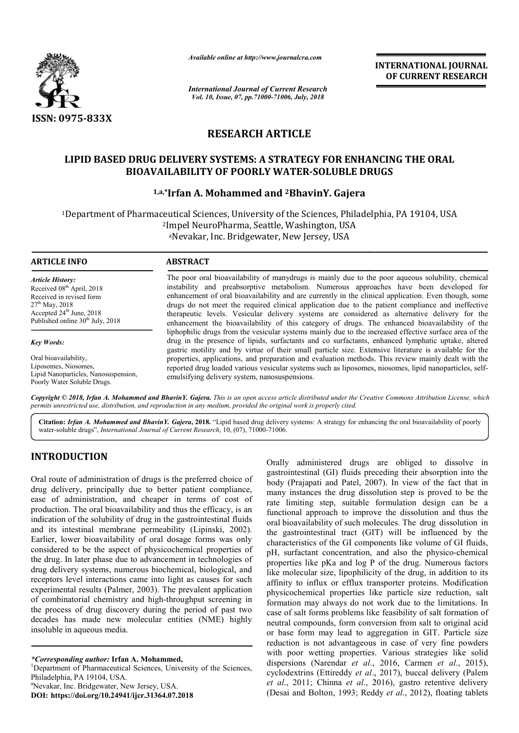

*Available online at http://www.journalcra.com*

*International Journal of Current Research Vol. 10, Issue, 07, pp.71000-71006, July, 2018*

**INTERNATIONAL JOURNAL OF CURRENT RESEARCH**

# **RESEARCH ARTICLE**

### **LIPID BASED DRUG DELIVERY SYSTEMS: A STRATEGY FOR ENHANCING THE ORAL LIPID BASED THE ORAL BIOAVAILABILITY OF POORLY WATER WATER-SOLUBLE DRUGS SOLUBLE**

## **1,a,\*Irfan A. Mohammed and Irfan 2BhavinY. Gajera**

1Department of Pharmaceutical Sciences, University of the Sciences, Philadelphia, PA 19104, USA 2Impel NeuroPharma, Seattle, Washington, USA Impel NeuroPharma, Seattle, Washington, US<br><sup>a</sup>Nevakar, Inc. Bridgewater, New Jersey, USA

| <b>ARTICLE INFO</b>                   | <b>ABSTRACT</b>                                                                                                                                                                                                                                                                                                        |
|---------------------------------------|------------------------------------------------------------------------------------------------------------------------------------------------------------------------------------------------------------------------------------------------------------------------------------------------------------------------|
| <b>Article History:</b>               | The poor oral bioavailability of manydrugs is mainly due to the poor aqueous solubility, chemical                                                                                                                                                                                                                      |
| Received 08 <sup>th</sup> April, 2018 | instability and preabsorptive metabolism. Numerous approaches have been developed for                                                                                                                                                                                                                                  |
| Received in revised form              | enhancement of oral bioavailability and are currently in the clinical application. Even though, some                                                                                                                                                                                                                   |
| $27th$ May, 2018                      | drugs do not meet the required clinical application due to the patient compliance and ineffective                                                                                                                                                                                                                      |
| Accepted 24 <sup>th</sup> June, 2018  | therapeutic levels. Vesicular delivery systems are considered as alternative delivery for the                                                                                                                                                                                                                          |
| Published online $30th$ July, 2018    | enhancement the bioavailability of this category of drugs. The enhanced bioavailability of the                                                                                                                                                                                                                         |
| <b>Key Words:</b>                     | liphophilic drugs from the vesicular systems mainly due to the increased effective surface area of the<br>drug in the presence of lipids, surfactants and co surfactants, enhanced lymphatic uptake, altered<br>gastric motility and by virtue of their small particle size. Extensive literature is available for the |
| Oral bioavailability,                 | properties, applications, and preparation and evaluation methods. This review mainly dealt with the                                                                                                                                                                                                                    |
| Liposomes, Niosomes,                  | reported drug loaded various vesicular systems such as liposomes, niosomes, lipid nanoparticles, self-                                                                                                                                                                                                                 |
| Lipid Nanoparticles, Nanosuspension,  | emulgifying delivery gystem, nenogygnegangions                                                                                                                                                                                                                                                                         |

Copyright © 2018, Irfan A. Mohammed and BhavinY. Gajera. This is an open access article distributed under the Creative Commons Attribution License, which permits unrestricted use, distribution, and reproduction in any medium, provided the original work is properly cited.

emulsifying delivery system, nanosuspensions.

Citation: Irfan A. Mohammed and BhavinY. Gajera, 2018. "Lipid based drug delivery systems: A strategy for enhancing the oral bioavailability of poorly water-soluble drugs", *International Journal of Current Research* , 10, (07), 71000-71006.

### **INTRODUCTION**

Poorly Water Soluble Drugs.

Oral route of administration of drugs is the preferred choice of drug delivery, principally due to better patient compliance, ease of administration, and cheaper in terms of cost of production. The oral bioavailability and thus the efficacy, is an indication of the solubility of drug in the gastrointestinal fluids and its intestinal membrane permeability (Lipinski, 2002). Earlier, lower bioavailability of oral dosage forms was only considered to be the aspect of physicochemical properties of the drug. In later phase due to advancement in technologies of drug delivery systems, numerous biochemical, biological, and receptors level interactions came into light as causes for such experimental results (Palmer, 2003). The prevalent application of combinatorial chemistry and high-throughput screening in of combinatorial chemistry and high-throughput screening in the process of drug discovery during the period of past two decades has made new molecular entities (NME) highly insoluble in aqueous media.

*\*Corresponding author:* **Irfan A. Mohammed,** <sup>1</sup>

Department of Pharmaceutical Sciences, University of the Sciences, Philadelphia, PA 19104, USA.

Nevakar, Inc. Bridgewater, New Jersey, USA.

**DOI: https://doi.org/10.24941/ijcr.31364.07.2018**

Consily administered drugs are obliged to dissolve in<br>
the partonicational (GI) fluids preceding their absorption into the<br>
the fact that in<br>
the trient complinence, many instances the drug dissolution step is proved to b gastrointestinal (GI) fluids preceding their absorption into the body (Prajapati and Patel, 2007). In view of the fact that in many instances the drug dissolution step is proved to be the rate limiting step, suitable formulation design can be a functional approach to improve the dissolution and thus the oral bioavailability of such molecules. The drug dissolution in the gastrointestinal tract (GIT) will be influenced by the characteristics of the GI components like volume of GI fluids, the gastrointestinal tract (GIT) will be influenced by the characteristics of the GI components like volume of GI fluids, pH, surfactant concentration, and also the physico-chemical properties like pKa and log P of the drug. Numerous factors like molecular size, lipophilicity of the drug, in addition to its affinity to influx or efflux transporter proteins. Modification physicochemical properties like particle size reduction, salt formation may always do not work due to the limitations. In case of salt forms problems like feasibility of salt formation of neutral compounds, form conversion from salt to original acid or base form may lead to aggregation in GIT. Particle size reduction is not advantageous in case of very fine powders with poor wetting properties. Various strategies like solid dispersions (Narendar *et al.*, 2016, Carmen *et al.*, 2015), cyclodextrins (Ettireddy *et al*., 2017), buccal delivery (Palem *et al*., 2011; Chinna *et al*., 2016), gastro retentive delivery (Desai and Bolton, 1993; Reddy et al., 2012), floating tablets Orally administered drugs are obliged to dissolve in gastrointestinal (GI) fluids preceding their absorption into the body (Prajapati and Patel, 2007). In view of the fact that in many instances the drug dissolution step is proved to be rate limiting step, suitable formulation design can be functional approach to improve the dissolution and thus rties like pKa and log P of the drug. Numerous factors nolecular size, lipophilicity of the drug, in addition to its y to influx or efflux transporter proteins. Modification coochemical properties like particle size reduct reddy *et al.*, 2017), buccal delivery (Palem<br>nna *et al.*, 2016), gastro retentive delivery<br>, 1993; Reddy *et al.*, 2012), floating tablets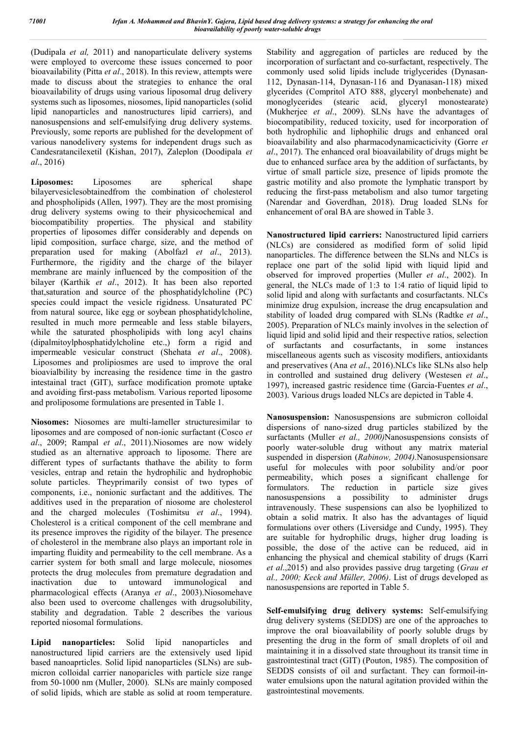(Dudipala *et al,* 2011) and nanoparticulate delivery systems were employed to overcome these issues concerned to poor bioavailability (Pitta *et al*., 2018). In this review, attempts were made to discuss about the strategies to enhance the oral bioavailability of drugs using various liposomal drug delivery systems such as liposomes, niosomes, lipid nanoparticles (solid lipid nanoparticles and nanostructures lipid carriers), and nanosuspensions and self-emulsifying drug delivery systems. Previously, some reports are published for the development of various nanodelivery systems for independent drugs such as Candesratancilexetil (Kishan, 2017), Zaleplon (Doodipala *et al*., 2016)

**Liposomes:** Liposomes are spherical shape bilayervesiclesobtainedfrom the combination of cholesterol and phospholipids (Allen, 1997). They are the most promising drug delivery systems owing to their physicochemical and biocompatibility properties. The physical and stability properties of liposomes differ considerably and depends on lipid composition, surface charge, size, and the method of preparation used for making (Abolfazl *et al*., 2013). Furthermore, the rigidity and the charge of the bilayer membrane are mainly influenced by the composition of the bilayer (Karthik *et al*., 2012). It has been also reported that,saturation and source of the phosphatidylcholine (PC) species could impact the vesicle rigidness. Unsaturated PC from natural source, like egg or soybean phosphatidylcholine, resulted in much more permeable and less stable bilayers, while the saturated phospholipids with long acyl chains (dipalmitoylphosphatidylcholine etc.,) form a rigid and impermeable vesicular construct (Shehata *et al*., 2008). Liposomes and prolipiosmes are used to improve the oral bioavialbility by increasing the residence time in the gastro intestainal tract (GIT), surface modification promote uptake and avoiding first-pass metabolism. Various reported liposome and proliposome formulations are presented in Table 1.

**Niosomes:** Niosomes are multi-lameller structuresimilar to liposomes and are composed of non-ionic surfactant (Cosco *et al*., 2009; Rampal *et al*., 2011).Niosomes are now widely studied as an alternative approach to liposome. There are different types of surfactants thathave the ability to form vesicles, entrap and retain the hydrophilic and hydrophobic solute particles. Theyprimarily consist of two types of components, i.e., nonionic surfactant and the additives. The additives used in the preparation of niosome are cholesterol and the charged molecules (Toshimitsu *et al*., 1994). Cholesterol is a critical component of the cell membrane and its presence improves the rigidity of the bilayer. The presence of cholesterol in the membrane also plays an important role in imparting fluidity and permeability to the cell membrane. As a carrier system for both small and large molecule, niosomes protects the drug molecules from premature degradation and inactivation due to untoward immunological and pharmacological effects (Aranya *et al*., 2003).Niosomehave also been used to overcome challenges with drugsolubility, stability and degradation. Table 2 describes the various reported niosomal formulations.

**Lipid nanoparticles:** Solid lipid nanoparticles and nanostructured lipid carriers are the extensively used lipid based nanoaprticles. Solid lipid nanoparticles (SLNs) are submicron colloidal carrier nanoparicles with particle size range from 50-1000 nm (Muller, 2000). SLNs are mainly composed of solid lipids, which are stable as solid at room temperature.

Stability and aggregation of particles are reduced by the incorporation of surfactant and co-surfactant, respectively. The commonly used solid lipids include triglycerides (Dynasan-112, Dynasan-114, Dynasan-116 and Dyanasan-118) mixed glycerides (Compritol ATO 888, glyceryl monbehenate) and monoglycerides (stearic acid, glyceryl monostearate) (Mukherjee *et al*., 2009). SLNs have the advantages of biocompatibility, reduced toxicity, used for incorporation of both hydrophilic and liphophilic drugs and enhanced oral bioavailability and also pharmacodynamicacticivity (Gorre *et al*., 2017). The enhanced oral bioavailability of drugs might be due to enhanced surface area by the addition of surfactants, by virtue of small particle size, presence of lipids promote the gastric motility and also promote the lymphatic transport by reducing the first-pass metabolism and also tumor targeting (Narendar and Goverdhan, 2018). Drug loaded SLNs for enhancement of oral BA are showed in Table 3.

**Nanostructured lipid carriers:** Nanostructured lipid carriers (NLCs) are considered as modified form of solid lipid nanoparticles. The difference between the SLNs and NLCs is replace one part of the solid lipid with liquid lipid and observed for improved properties (Muller *et al*., 2002). In general, the NLCs made of 1:3 to 1:4 ratio of liquid lipid to solid lipid and along with surfactants and cosurfactants. NLCs minimize drug expulsion, increase the drug encapsulation and stability of loaded drug compared with SLNs (Radtke *et al*., 2005). Preparation of NLCs mainly involves in the selection of liquid lipid and solid lipid and their respective ratios, selection of surfactants and cosurfactants, in some instances miscellaneous agents such as viscosity modifiers, antioxidants and preservatives (Ana *et al*., 2016).NLCs like SLNs also help in controlled and sustained drug delivery (Westesen *et al*., 1997), increased gastric residence time (Garcia-Fuentes *et al*., 2003). Various drugs loaded NLCs are depicted in Table 4.

**Nanosuspension:** Nanosuspensions are submicron colloidal dispersions of nano-sized drug particles stabilized by the surfactants (Muller *et al., 2000)*Nanosuspensions consists of poorly water-soluble drug without any matrix material suspended in dispersion (*Rabinow, 2004).*Nanosuspensionsare useful for molecules with poor solubility and/or poor permeability, which poses a significant challenge for formulators. The reduction in particle size gives nanosuspensions a possibility to administer drugs intravenously. These suspensions can also be lyophilized to obtain a solid matrix. It also has the advantages of liquid formulations over others (Liversidge and Cundy, 1995). They are suitable for hydrophilic drugs, higher drug loading is possible, the dose of the active can be reduced, aid in enhancing the physical and chemical stability of drugs (Karri *et al*.,2015) and also provides passive drug targeting (*Grau et al., 2000; Keck and Müller, 2006)*. List of drugs developed as nanosuspensions are reported in Table 5.

**Self-emulsifying drug delivery systems:** Self-emulsifying drug delivery systems (SEDDS) are one of the approaches to improve the oral bioavailability of poorly soluble drugs by presenting the drug in the form of small droplets of oil and maintaining it in a dissolved state throughout its transit time in gastrointestinal tract (GIT) (Pouton, 1985). The composition of SEDDS consists of oil and surfactant. They can formoil-inwater emulsions upon the natural agitation provided within the gastrointestinal movements.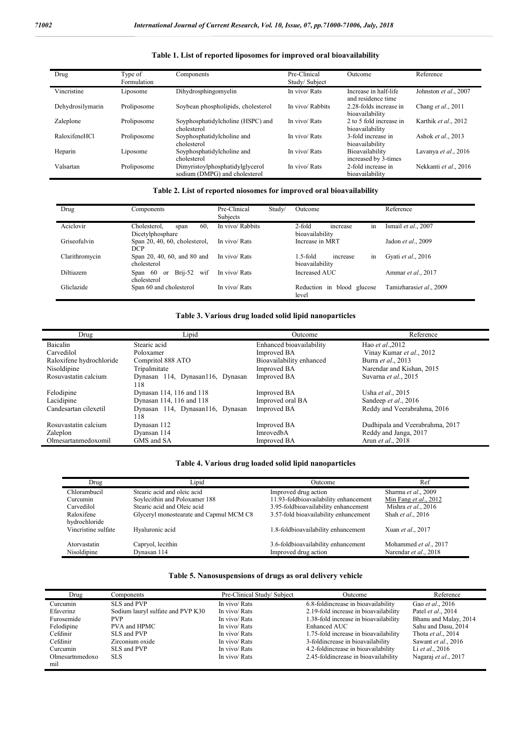j.

| Table 1. List of reported liposomes for improved oral bioavailability |            |               |         |  |  |
|-----------------------------------------------------------------------|------------|---------------|---------|--|--|
| Tyne of                                                               | Components | Pre-Clinical  | Outcome |  |  |
| <b>Formulation</b>                                                    |            | Study/Subject |         |  |  |

| Drug             | Type of<br>Formulation | Components                                                       | Pre-Clinical<br>Study/Subject | Outcome                                     | Reference             |
|------------------|------------------------|------------------------------------------------------------------|-------------------------------|---------------------------------------------|-----------------------|
| Vincristine      | Liposome               | Dihydrosphingomyelin                                             | In vivo/ Rats                 | Increase in half-life<br>and residence time | Johnston et al., 2007 |
| Dehydrosilymarin | Proliposome            | Soybean phospholipids, cholesterol                               | In vivo/ Rabbits              | 2.28-folds increase in<br>bioavailability   | Chang et al., 2011    |
| Zaleplone        | Proliposome            | Soyphosphatidylcholine (HSPC) and<br>cholesterol                 | In vivo/ Rats                 | 2 to 5 fold increase in<br>bioavailability  | Karthik et al., 2012  |
| RaloxifeneHCl    | Proliposome            | Soyphosphatidylcholine and<br>cholesterol                        | In vivo/ Rats                 | 3-fold increase in<br>bioavailability       | Ashok et al., 2013    |
| Heparin          | Liposome               | Soyphosphatidylcholine and<br>cholesterol                        | In vivo/ Rats                 | Bioavailability<br>increased by 3-times     | Lavanya et al., 2016  |
| Valsartan        | Proliposome            | Dimyristoylphosphatidylglycerol<br>sodium (DMPG) and cholesterol | In vivo/ Rats                 | 2-fold increase in<br>bioavailability       | Nekkanti et al., 2016 |

#### **Table 2. List of reported niosomes for improved oral bioavailability**

| Drug             | Components                                      | Pre-Clinical<br>Subjects | Study/ | Outcome                                       | Reference               |
|------------------|-------------------------------------------------|--------------------------|--------|-----------------------------------------------|-------------------------|
| Aciclovir        | Cholesterol,<br>60.<br>span<br>Dicetylphosphare | In vivo/ Rabbits         |        | in<br>2-fold<br>increase<br>bioavailability   | Ismail et al., 2007     |
| Griseofulvin     | Span $20, 40, 60$ , cholesterol,<br><b>DCP</b>  | In vivo/ Rats            |        | Increase in MRT                               | Jadon et al., 2009      |
| Clarithromycin   | Span 20, 40, 60, and 80 and<br>cholesterol      | In vivo/ Rats            |        | 1.5-fold<br>increase<br>in<br>bioavailability | Gyati et al., 2016      |
| <b>Diltiazem</b> | Brij-52 wif<br>Span 60 or<br>cholesterol        | In vivo/ Rats            |        | Increased AUC                                 | Ammar et al., 2017      |
| Gliclazide       | Span 60 and cholesterol                         | In vivo/ Rats            |        | Reduction in blood glucose<br>level           | Tamizharasiet al., 2009 |

#### **Table 3. Various drug loaded solid lipid nanoparticles**

| Drug                     | Lipid                            | Outcome                  | Reference                       |
|--------------------------|----------------------------------|--------------------------|---------------------------------|
| Baicalin                 | Stearic acid                     | Enhanced bioavailability | Hao et al., 2012                |
| Carvedilol               | Poloxamer                        | Improved BA              | Vinay Kumar et al., 2012        |
| Raloxifene hydrochloride | Compritol 888 ATO                | Bioavailability enhanced | Burra et al., 2013              |
| Nisoldipine              | Tripalmitate                     | Improved BA              | Narendar and Kishan, 2015       |
| Rosuvastatin calcium     | Dynasan 114, Dynasan116, Dynasan | <b>Improved BA</b>       | Suvarna et al., 2015            |
|                          | 118                              |                          |                                 |
| Felodipine               | Dynasan 114, 116 and 118         | Improved BA              | Usha et al., 2015               |
| Lacidipine               | Dynasan 114, 116 and 118         | Improved oral BA         | Sandeep et al., 2016            |
| Candesartan cilexetil    | Dynasan 114, Dynasan116, Dynasan | Improved BA              | Reddy and Veerabrahma, 2016     |
|                          | 118                              |                          |                                 |
| Rosuvastatin calcium     | Dynasan 112                      | Improved BA              | Dudhipala and Veerabrahma, 2017 |
| Zaleplon                 | Dyansan 114                      | ImrovedbA                | Reddy and Janga, 2017           |
| Olmesartanmedoxomil      | GMS and SA                       | Improved BA              | Arun et al., 2018               |

#### **Table 4. Various drug loaded solid lipid nanoparticles**

| Drug                | Lipid                                   | Outcome                               | Ref                     |
|---------------------|-----------------------------------------|---------------------------------------|-------------------------|
| Chlorambucil        | Stearic acid and oleic acid             | Improved drug action                  | Sharma et al., 2009     |
| Curcumin            | Soylecithin and Poloxamer 188           | 11.93-foldbioavailability enhancement | Min Fang et al., $2012$ |
| Carvedilol          | Stearic acid and Oleic acid             | 3.95-foldbioavailability enhancement  | Mishra et al., 2016     |
| Raloxifene          | Glyceryl monostearate and Capmul MCM C8 | 3.57-fold bioavailability enhancement | Shah et al., 2016       |
| hydrochloride       |                                         |                                       |                         |
| Vincristine sulfate | Hyaluronic acid                         | 1.8-foldbioavailability enhancement   | Xuan et al., 2017       |
|                     |                                         |                                       |                         |
| Atorvastatin        | Capryol, lecithin                       | 3.6-foldbioavailability enhancement   | Mohammed et al., 2017   |
| Nisoldipine         | Dynasan 114                             | Improved drug action                  | Narendar et al., 2018   |

#### **Table 5. Nanosuspensions of drugs as oral delivery vehicle**

| Drug            | Components                        | Pre-Clinical Study/Subject | Outcome                               | Reference             |
|-----------------|-----------------------------------|----------------------------|---------------------------------------|-----------------------|
| Curcumin        | SLS and PVP                       | In vivo/ Rats              | 6.8-foldincrease in bioavailability   | Gao et al., 2016      |
| Efaverinz       | Sodium lauryl sulfate and PVP K30 | In vivo/ Rats              | 2.19-fold increase in bioavailability | Patel et al., 2014    |
| Furosemide      | PVP.                              | In vivo/ Rats              | 1.38-fold increase in bioavailability | Bhanu and Malay, 2014 |
| Felodipine      | PVA and HPMC                      | In vivo/ Rats              | Enhanced AUC                          | Sahu and Dasu, 2014   |
| Cefdinir        | SLS and PVP                       | In vivo/ Rats              | 1.75-fold increase in bioavailability | Thota et al., 2014    |
| Cefdinir        | Zirconium oxide                   | In vivo/ Rats              | 3-foldincrease in bioavailability     | Sawant et al., 2016   |
| Curcumin        | SLS and PVP                       | In vivo/ Rats              | 4.2-foldincrease in bioavailability   | Li et al., 2016       |
| Olmesartnmedoxo | SLS.                              | In vivo/ Rats              | 2.45-foldincrease in bioavailability  | Nagaraj et al., 2017  |
| mil             |                                   |                            |                                       |                       |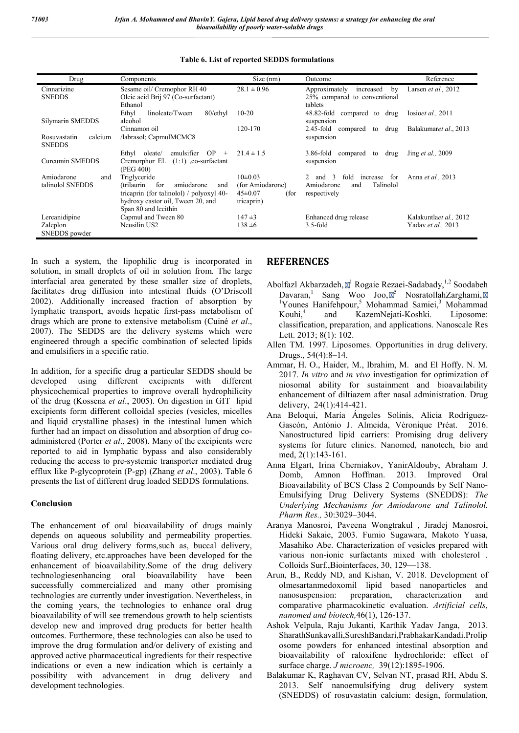| Drug                    | Components                                  | Size (nm)             | Outcome                                                        | Reference                 |
|-------------------------|---------------------------------------------|-----------------------|----------------------------------------------------------------|---------------------------|
| Cinnarizine             | Sesame oil/ Cremophor RH 40                 | $28.1 \pm 0.96$       | Approximately<br>increased<br>by                               | Larsen et al., 2012       |
| <b>SNEDDS</b>           | Oleic acid Brij 97 (Co-surfactant)          |                       | 25% compared to conventional                                   |                           |
|                         | Ethanol                                     |                       | tablets                                                        |                           |
|                         | Ethyl<br>linoleate/Tween<br>80/ethyl        | $10 - 20$             | 48.82-fold<br>compared to<br>drug                              | Iosioet al., 2011         |
| Silymarin SMEDDS        | alcohol                                     |                       | suspension                                                     |                           |
|                         | Cinnamon oil                                | 120-170               | $2.45$ -fold<br>compared<br>drug<br>to                         | Balakumaret al., 2013     |
| calcium<br>Rosuvastatin | /labrasol; CapmulMCMC8                      |                       | suspension                                                     |                           |
| <b>SNEDDS</b>           |                                             |                       |                                                                |                           |
|                         | OP<br>emulsifier<br>Ethyl<br>oleate/<br>$+$ | $21.4 \pm 1.5$        | $3.86$ -fold<br>compared<br>drug<br>to                         | Jing <i>et al.</i> , 2009 |
| Curcumin SMEDDS         | Cremorphor EL<br>$(1:1)$ , co-surfactant    |                       | suspension                                                     |                           |
|                         | (PEG 400)                                   |                       |                                                                |                           |
| Amiodarone<br>and       | Triglyceride                                | $10\pm0.03$           | $\mathcal{R}$<br>fold<br>for<br>$2^{\circ}$<br>and<br>increase | Anna <i>et al.</i> , 2013 |
| talinolol SNEDDS        | for<br>amiodarone<br>(trilaurin)<br>and     | (for Amiodarone)      | Talinolol<br>Amiodarone<br>and                                 |                           |
|                         | tricaprin (for talinolol) / polyoxyl 40-    | $45 \pm 0.07$<br>(for | respectively                                                   |                           |
|                         | hydroxy castor oil, Tween 20, and           | tricaprin)            |                                                                |                           |
|                         | Span 80 and lecithin                        |                       |                                                                |                           |
| Lercanidipine           | Capmul and Tween 80                         | $147 \pm 3$           | Enhanced drug release                                          | Kalakuntlaet al., 2012    |
| Zaleplon                | Neusilin US2                                | $138 \pm 6$           | $3.5$ -fold                                                    | Yadav et al., 2013        |
| SNEDDS powder           |                                             |                       |                                                                |                           |

### **Table 6. List of reported SEDDS formulations**

In such a system, the lipophilic drug is incorporated in solution, in small droplets of oil in solution from. The large interfacial area generated by these smaller size of droplets, facilitates drug diffusion into intestinal fluids (O'Driscoll 2002). Additionally increased fraction of absorption by lymphatic transport, avoids hepatic first-pass metabolism of drugs which are prone to extensive metabolism (Cuiné *et al*., 2007). The SEDDS are the delivery systems which were engineered through a specific combination of selected lipids and emulsifiers in a specific ratio.

In addition, for a specific drug a particular SEDDS should be developed using different excipients with different physicochemical properties to improve overall hydrophilicity of the drug (Kossena *et al*., 2005). On digestion in GIT lipid excipients form different colloidal species (vesicles, micelles and liquid crystalline phases) in the intestinal lumen which further had an impact on dissolution and absorption of drug coadministered (Porter *et al*., 2008). Many of the excipients were reported to aid in lymphatic bypass and also considerably reducing the access to pre-systemic transporter mediated drug efflux like P-glycoprotein (P-gp) (Zhang *et al*., 2003). Table 6 presents the list of different drug loaded SEDDS formulations.

### **Conclusion**

The enhancement of oral bioavailability of drugs mainly depends on aqueous solubility and permeability properties. Various oral drug delivery forms,such as, buccal delivery, floating delivery, etc.approaches have been developed for the enhancement of bioavailability.Some of the drug delivery technologiesenhancing oral bioavailability have been successfully commercialized and many other promising technologies are currently under investigation. Nevertheless, in the coming years, the technologies to enhance oral drug bioavailability of will see tremendous growth to help scientists develop new and improved drug products for better health outcomes. Furthermore, these technologies can also be used to improve the drug formulation and/or delivery of existing and approved active pharmaceutical ingredients for their respective indications or even a new indication which is certainly a possibility with advancement in drug delivery and development technologies.

### **REFERENCES**

- Abolfazl Akbarzadeh,  $\mathbb{Z}^1$  Rogaie Rezaei-Sadabady,<sup>1,2</sup> Soodabeh Davaran, Sang Woo Joo,  $\overline{\mathbb{Q}}^5$  NosratollahZarghami,  $\overline{\mathbb{Q}}$  $1$ Younes Hanifehpour,<sup>5</sup> Mohammad Samiei, $3$  Mohammad Kouhi,<sup>4</sup> and KazemNejati-Koshki. Liposome: classification, preparation, and applications. Nanoscale Res Lett. 2013; 8(1): 102.
- Allen TM. 1997. Liposomes. Opportunities in drug delivery. Drugs., 54(4):8–14.
- Ammar, H. O., Haider, M., Ibrahim, M. and El Hoffy. N. M. 2017. *In vitro* and *in vivo* investigation for optimization of niosomal ability for sustainment and bioavailability enhancement of diltiazem after nasal administration. Drug delivery, 24(1):414-421.
- Ana Beloqui, María Ángeles Solinís, Alicia Rodríguez-Gascón, António J. Almeida, Véronique Préat. 2016. Nanostructured lipid carriers: Promising drug delivery systems for future clinics. Nanomed, nanotech, bio and med, 2(1):143-161.
- Anna Elgart, Irina Cherniakov, YanirAldouby, Abraham J. Amnon Hoffman. 2013. Improved Oral Bioavailability of BCS Class 2 Compounds by Self Nano-Emulsifying Drug Delivery Systems (SNEDDS): *The Underlying Mechanisms for Amiodarone and Talinolol. Pharm Res.,* 30:3029–3044.
- Aranya Manosroi, Paveena Wongtrakul , Jiradej Manosroi, Hideki Sakaie, 2003. Fumio Sugawara, Makoto Yuasa, Masahiko Abe. Characterization of vesicles prepared with various non-ionic surfactants mixed with cholesterol . Colloids Surf.,Biointerfaces, 30, 129—138.
- Arun, B., Reddy ND, and Kishan, V. 2018. Development of olmesartanmedoxomil lipid based nanoparticles and nanosuspension: preparation, characterization and comparative pharmacokinetic evaluation. *Artificial cells, nanomed and biotech,*46(1), 126-137.
- Ashok Velpula, Raju Jukanti, Karthik Yadav Janga, 2013. SharathSunkavalli,SureshBandari,PrabhakarKandadi.Prolip osome powders for enhanced intestinal absorption and bioavailability of raloxifene hydrochloride: effect of surface charge. *J microenc,* 39(12):1895-1906.
- Balakumar K, Raghavan CV, Selvan NT, prasad RH, Abdu S. 2013. Self nanoemulsifying drug delivery system (SNEDDS) of rosuvastatin calcium: design, formulation,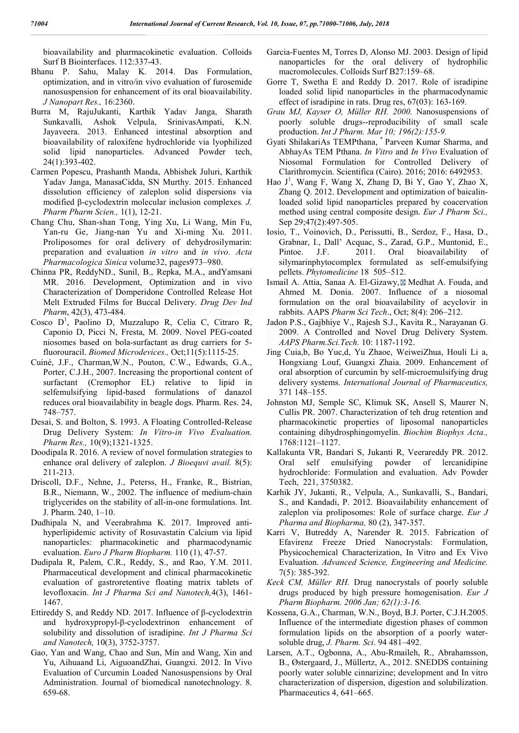bioavailability and pharmacokinetic evaluation. Colloids Surf B Biointerfaces. 112:337-43.

- Bhanu P. Sahu, Malay K. 2014. Das Formulation, optimization, and in vitro/in vivo evaluation of furosemide nanosuspension for enhancement of its oral bioavailability. *J Nanopart Res.,* 16:2360.
- Burra M, RajuJukanti, Karthik Yadav Janga, Sharath Sunkavalli, Ashok Velpula, SrinivasAmpati, K.N. Jayaveera. 2013. Enhanced intestinal absorption and bioavailability of raloxifene hydrochloride via lyophilized solid lipid nanoparticles. Advanced Powder tech, 24(1):393-402.
- Carmen Popescu, Prashanth Manda, Abhishek Juluri, Karthik Yadav Janga, ManasaCidda, SN Murthy. 2015. Enhanced dissolution efficiency of zaleplon solid dispersions via modified β-cyclodextrin molecular inclusion complexes*. J. Pharm Pharm Scien.,* 1(1), 12-21.
- Chang Chu, Shan-shan Tong, Ying Xu, Li Wang, Min Fu, Yan-ru Ge, Jiang-nan Yu and Xi-ming Xu. 2011. Proliposomes for oral delivery of dehydrosilymarin: preparation and evaluation *in vitro* and *in vivo. Acta Pharmacologica Sinica* volume32, pages973–980.
- Chinna PR, ReddyND., Sunil, B., Repka, M.A., andYamsani MR. 2016. Development, Optimization and in vivo Characterization of Domperidone Controlled Release Hot Melt Extruded Films for Buccal Delivery. *Drug Dev Ind Pharm*, 42(3), 473-484.
- Cosco D<sup>1</sup>, Paolino D, Muzzalupo R, Celia C, Citraro R, Caponio D, Picci N, Fresta, M. 2009. Novel PEG-coated niosomes based on bola-surfactant as drug carriers for 5 fluorouracil. *Biomed Microdevices.,* Oct;11(5):1115-25.
- Cuiné, J.F., Charman,W.N., Pouton, C.W., Edwards, G.A., Porter, C.J.H., 2007. Increasing the proportional content of surfactant (Cremophor EL) relative to lipid in selfemulsifying lipid-based formulations of danazol reduces oral bioavailability in beagle dogs. Pharm. Res. 24, 748–757.
- Desai, S. and Bolton, S. 1993. A Floating Controlled-Release Drug Delivery System: *In Vitro-in Vivo Evaluation. Pharm Res.,* 10(9);1321-1325.
- Doodipala R. 2016. A review of novel formulation strategies to enhance oral delivery of zaleplon. *J Bioequvi avail.* 8(5): 211-213.
- Driscoll, D.F., Nehne, J., Peterss, H., Franke, R., Bistrian, B.R., Niemann, W., 2002. The influence of medium-chain triglycerides on the stability of all-in-one formulations. Int. J. Pharm. 240, 1–10.
- Dudhipala N, and Veerabrahma K. 2017. Improved antihyperlipidemic activity of Rosuvastatin Calcium via lipid nanoparticles: pharmacokinetic and pharmacodynamic evaluation. *Euro J Pharm Biopharm.* 110 (1), 47-57.
- Dudipala R, Palem, C.R., Reddy, S., and Rao, Y.M. 2011. Pharmaceutical development and clinical pharmacokinetic evaluation of gastroretentive floating matrix tablets of levofloxacin. *Int J Pharma Sci and Nanotech,*4(3), 1461- 1467.
- Ettireddy S, and Reddy ND. 2017. Influence of β-cyclodextrin and hydroxypropyl-β-cyclodextrinon enhancement of solubility and dissolution of isradipine. *Int J Pharma Sci and Nanotech,* 10(3), 3752-3757.
- Gao, Yan and Wang, Chao and Sun, Min and Wang, Xin and Yu, Aihuaand Li, AiguoandZhai, Guangxi. 2012. In Vivo Evaluation of Curcumin Loaded Nanosuspensions by Oral Administration. Journal of biomedical nanotechnology. 8. 659-68.
- Garcia-Fuentes M, Torres D, Alonso MJ. 2003. Design of lipid nanoparticles for the oral delivery of hydrophilic macromolecules. Colloids Surf B27:159–68.
- Gorre T, Swetha E and Reddy D. 2017. Role of isradipine loaded solid lipid nanoparticles in the pharmacodynamic effect of isradipine in rats. Drug res, 67(03): 163-169.
- *Grau MJ, Kayser O, Müller RH. 2000.* Nanosuspensions of poorly soluble drugs--reproducibility of small scale production. *Int J Pharm. Mar 10; 196(2):155-9.*
- Gyati ShilakariAs TEMPthana, \* Parveen Kumar Sharma, and AbhayAs TEM Pthana. *In Vitro* and *In Vivo* Evaluation of Niosomal Formulation for Controlled Delivery of Clarithromycin. Scientifica (Cairo). 2016; 2016: 6492953.
- Hao J 1 , Wang F, Wang X, Zhang D, Bi Y, Gao Y, Zhao X, Zhang Q. 2012. Development and optimization of baicalinloaded solid lipid nanoparticles prepared by coacervation method using central composite design. *Eur J Pharm Sci.,* Sep 29;47(2):497-505.
- Iosio, T., Voinovich, D., Perissutti, B., Serdoz, F., Hasa, D., Grabnar, I., Dall' Acquac, S., Zarad, G.P., Muntonid, E., Pintoe. J.F. 2011. Oral bioavailability of silymarinphytocomplex formulated as self-emulsifying pellets. *Phytomedicine* 18 505–512.
- Ismail A. Attia, Sanaa A. El-Gizawy, **M** Medhat A. Fouda, and Ahmed M. Donia. 2007. Influence of a niosomal formulation on the oral bioavailability of acyclovir in rabbits. AAPS *Pharm Sci Tech*., Oct; 8(4): 206–212.
- Jadon P.S., Gajbhiye V., Rajesh S.J., Kavita R., Narayanan G. 2009. A Controlled and Novel Drug Delivery System. *AAPS Pharm.Sci.Tech.* 10: 1187-1192.
- Jing Cuia,b, Bo Yuc,d, Yu Zhaoe, WeiweiZhua, Houli Li a, Hongxiang Louf, Guangxi Zhaia. 2009. Enhancement of oral absorption of curcumin by self-microemulsifying drug delivery systems. *International Journal of Pharmaceutics,* 371 148–155.
- Johnston MJ, Semple SC, Klimuk SK, Ansell S, Maurer N, Cullis PR. 2007. Characterization of teh drug retention and pharmacokinetic properties of liposomal nanoparticles containing dihydrosphingomyelin. *Biochim Biophys Acta.,* 1768:1121–1127.
- Kallakunta VR, Bandari S, Jukanti R, Veerareddy PR. 2012. Oral self emulsifying powder of lercanidipine hydrochloride: Formulation and evaluation. Adv Powder Tech, 221, 3750382.
- Karhik JY, Jukanti, R., Velpula, A., Sunkavalli, S., Bandari, S., and Kandadi, P. 2012. Bioavailability enhancement of zaleplon via proliposomes: Role of surface charge. *Eur J Pharma and Biopharma,* 80 (2), 347-357.
- Karri V, Butreddy A, Narender R. 2015. Fabrication of Efavirenz Freeze Dried Nanocrystals: Formulation, Physicochemical Characterization, In Vitro and Ex Vivo Evaluation. *Advanced Science, Engineering and Medicine.* 7(5): 385-392.
- *Keck CM, Müller RH.* Drug nanocrystals of poorly soluble drugs produced by high pressure homogenisation. *Eur J Pharm Biopharm. 2006 Jan; 62(1):3-16.*
- Kossena, G.A., Charman, W.N., Boyd, B.J. Porter, C.J.H.2005. Influence of the intermediate digestion phases of common formulation lipids on the absorption of a poorly watersoluble drug, *J. Pharm. Sci*. 94 481–492.
- Larsen, A.T., Ogbonna, A., Abu-Rmaileh, R., Abrahamsson, B., Østergaard, J., Müllertz, A., 2012. SNEDDS containing poorly water soluble cinnarizine; development and In vitro characterization of dispersion, digestion and solubilization. Pharmaceutics 4, 641–665.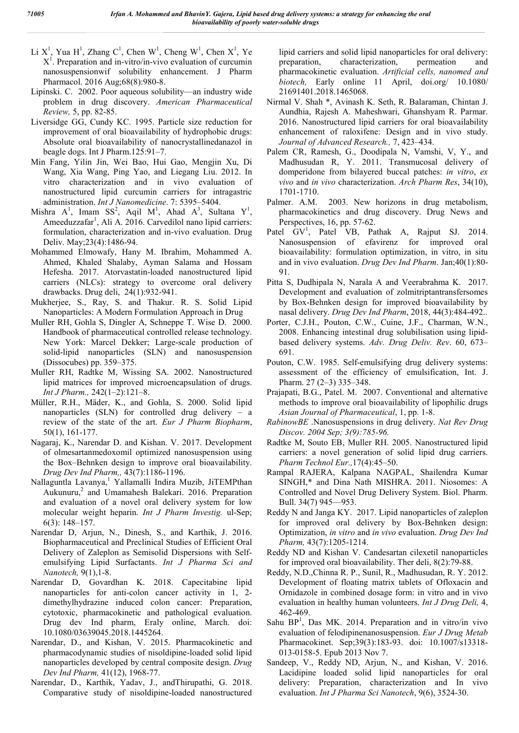- Li X<sup>1</sup>, Yua H<sup>1</sup>, Zhang C<sup>1</sup>, Chen W<sup>1</sup>, Cheng W<sup>1</sup>, Chen X<sup>1</sup>, Ye  $X<sup>1</sup>$ . Preparation and in-vitro/in-vivo evaluation of curcumin nanosuspensionwif solubility enhancement. J Pharm Pharmacol. 2016 Aug;68(8):980-8.
- Lipinski. C. 2002. Poor aqueous solubility—an industry wide problem in drug discovery. *American Pharmaceutical Review,* 5, pp. 82-85.
- Liversidge GG, Cundy KC. 1995. Particle size reduction for improvement of oral bioavailability of hydrophobic drugs: Absolute oral bioavailability of nanocrystallinedanazol in beagle dogs. Int J Pharm.125:91–7.
- Min Fang, Yilin Jin, Wei Bao, Hui Gao, Mengjin Xu, Di Wang, Xia Wang, Ping Yao, and Liegang Liu. 2012. In vitro characterization and in vivo evaluation of nanostructured lipid curcumin carriers for intragastric administration. *Int J Nanomedicine*. 7: 5395–5404.
- Mishra  $A^1$ , Imam  $SS^2$ , Aqil M<sup>1</sup>, Ahad A<sup>3</sup>, Sultana Y<sup>1</sup>, Ameeduzzafar<sup>1</sup>, Ali A. 2016. Carvedilol nano lipid carriers: formulation, characterization and in-vivo evaluation. Drug Deliv. May;23(4):1486-94.
- Mohammed Elmowafy, Hany M. Ibrahim, Mohammed A. Ahmed, Khaled Shalaby, Ayman Salama and Hossam Hefesha. 2017. Atorvastatin-loaded nanostructured lipid carriers (NLCs): strategy to overcome oral delivery drawbacks. Drug deli, 24(1):932-941.
- Mukherjee, S., Ray, S. and Thakur. R. S. Solid Lipid Nanoparticles: A Modern Formulation Approach in Drug
- Muller RH, Gohla S, Dingler A, Schneppe T. Wise D. 2000. Handbook of pharmaceutical controlled release technology. New York: Marcel Dekker; Large-scale production of solid-lipid nanoparticles (SLN) and nanosuspension (Dissocubes) pp. 359–375.
- Muller RH, Radtke M, Wissing SA. 2002. Nanostructured lipid matrices for improved microencapsulation of drugs. *Int J Pharm.,* 242(1–2):121–8.
- Müller, R.H., Mäder, K., and Gohla, S. 2000. Solid lipid nanoparticles (SLN) for controlled drug delivery – a review of the state of the art. *Eur J Pharm Biopharm*, 50(1), 161-177.
- Nagaraj, K., Narendar D. and Kishan. V. 2017. Development of olmesartanmedoxomil optimized nanosuspension using the Box–Behnken design to improve oral bioavailability. *Drug Dev Ind Pharm,,* 43(7):1186-1196.
- Nallaguntla Lavanya,<sup>1</sup> Yallamalli Indira Muzib, JiTEMPthan Aukunuru,<sup>2</sup> and Umamahesh Balekari. 2016. Preparation and evaluation of a novel oral delivery system for low molecular weight heparin. *Int J Pharm Investig.* ul-Sep; 6(3): 148–157.
- Narendar D, Arjun, N., Dinesh, S., and Karthik, J. 2016. Biopharmaceutical and Preclinical Studies of Efficient Oral Delivery of Zaleplon as Semisolid Dispersions with Selfemulsifying Lipid Surfactants. *Int J Pharma Sci and Nanotech,* 9(1),1-8.
- Narendar D, Govardhan K. 2018. Capecitabine lipid nanoparticles for anti-colon cancer activity in 1, 2 dimethylhydrazine induced colon cancer: Preparation, cytotoxic, pharmacokinetic and pathological evaluation. Drug dev Ind pharm, Eraly online, March. doi: 10.1080/03639045.2018.1445264.
- Narendar, D., and Kishan, V. 2015. Pharmacokinetic and pharmacodynamic studies of nisoldipine-loaded solid lipid nanoparticles developed by central composite design. *Drug Dev Ind Pharm,* 41(12), 1968-77.
- Narendar, D., Karthik, Yadav, J., andThirupathi, G. 2018. Comparative study of nisoldipine-loaded nanostructured

lipid carriers and solid lipid nanoparticles for oral delivery:<br>preparation, characterization, permeation and preparation, characterization, permeation and pharmacokinetic evaluation. *Artificial cells, nanomed and biotech,* Early online 11 April, doi.org/ 10.1080/ 21691401.2018.1465068.

- Nirmal V. Shah \*, Avinash K. Seth, R. Balaraman, Chintan J. Aundhia, Rajesh A. Maheshwari, Ghanshyam R. Parmar. 2016. Nanostructured lipid carriers for oral bioavailability enhancement of raloxifene: Design and in vivo study. *Journal of Advanced Research.,* 7, 423–434.
- Palem CR, Ramesh, G., Doodipala N, Vamshi, V, Y., and Madhusudan R, Y. 2011. Transmucosal delivery of domperidone from bilayered buccal patches: *in vitro*, *ex vivo* and *in vivo* characterization. *Arch Pharm Res*, 34(10), 1701-1710.
- Palmer. A.M. 2003. New horizons in drug metabolism, pharmacokinetics and drug discovery. Drug News and Perspectives, 16, pp. 57-62.
- Patel GV<sup>1</sup>, Patel VB, Pathak A, Rajput SJ. 2014. Nanosuspension of efavirenz for improved oral bioavailability: formulation optimization, in vitro, in situ and in vivo evaluation. *Drug Dev Ind Pharm*. Jan;40(1):80- 91.
- Pitta S, Dudhipala N, Narala A and Veerabrahma K. 2017. Development and evaluation of zolmitriptantransfersomes by Box-Behnken design for improved bioavailability by nasal delivery. *Drug Dev Ind Pharm*, 2018, 44(3):484-492..
- Porter, C.J.H., Pouton, C.W., Cuine, J.F., Charman, W.N., 2008. Enhancing intestinal drug solubilisation using lipidbased delivery systems. *Adv. Drug Deliv. Rev*. 60, 673– 691.
- Pouton, C.W. 1985. Self-emulsifying drug delivery systems: assessment of the efficiency of emulsification, Int. J. Pharm. 27 (2–3) 335–348.
- Prajapati, B.G., Patel. M. 2007. Conventional and alternative methods to improve oral bioavailability of lipophilic drugs *Asian Journal of Pharmaceutical*, 1, pp. 1-8.
- *RabinowBE* .Nanosuspensions in drug delivery. *Nat Rev Drug Discov. 2004 Sep; 3(9):785-96.*
- Radtke M, Souto EB, Muller RH. 2005. Nanostructured lipid carriers: a novel generation of solid lipid drug carriers. *Pharm Technol Eur.,*17(4):45–50.
- Rampal RAJERA, Kalpana NAGPAL, Shailendra Kumar SINGH,\* and Dina Nath MISHRA. 2011. Niosomes: A Controlled and Novel Drug Delivery System. Biol. Pharm. Bull. 34(7) 945—953.
- Reddy N and Janga KY. 2017. Lipid nanoparticles of zaleplon for improved oral delivery by Box-Behnken design: Optimization, *in vitro* and *in vivo* evaluation. *Drug Dev Ind Pharm,* 43(7):1205-1214.
- Reddy ND and Kishan V. Candesartan cilexetil nanoparticles for improved oral bioavailability. Ther deli, 8(2):79-88.
- Reddy, N.D.,Chinna R. P., Sunil, R., Madhusudan, R. Y. 2012. Development of floating matrix tablets of Ofloxacin and Ornidazole in combined dosage form: in vitro and in vivo evaluation in healthy human volunteers. *Int J Drug Deli,* 4, 462-469.
- Sahu  $BP<sup>1</sup>$ , Das MK. 2014. Preparation and in vitro/in vivo evaluation of felodipinenanosuspension. *Eur J Drug Metab* Pharmacokinet. Sep;39(3):183-93. doi: 10.1007/s13318- 013-0158-5. Epub 2013 Nov 7.
- Sandeep, V., Reddy ND, Arjun, N., and Kishan, V. 2016. Lacidipine loaded solid lipid nanoparticles for oral delivery: Preparation, characterization and In vivo evaluation. *Int J Pharma Sci Nanotech*, 9(6), 3524-30.